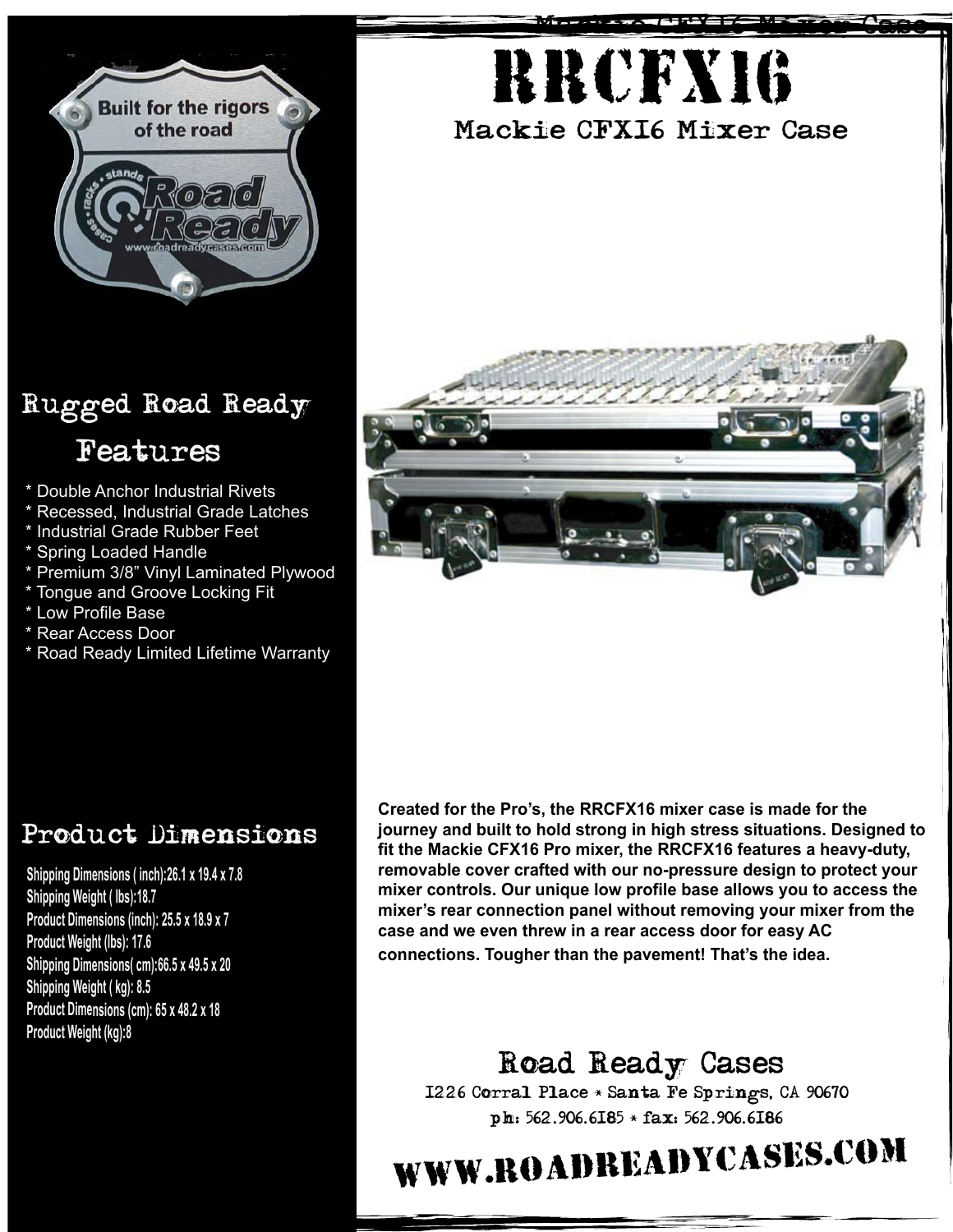

## Rugged Road Ready Features

- \* Double Anchor Industrial Rivets
- \* Recessed, Industrial Grade Latches
- \* Industrial Grade Rubber Feet
- \* Spring Loaded Handle
- \* Premium 3/8" Vinyl Laminated Plywood
- \* Tongue and Groove Locking Fit
- \* Low Profile Base
- \* Rear Access Door
- \* Road Ready Limited Lifetime Warranty





## Product Dimensions

**Shipping Dimensions ( inch):26.1 <sup>x</sup> 19.4 <sup>x</sup> 7.8 Shipping Weight ( lbs):18.7 Product Dimensions (inch): 25.5 <sup>x</sup> 18.9 <sup>x</sup> 7 Product Weight (lbs): 17.6 Shipping Dimensions( cm):66.5 <sup>x</sup> 49.5 <sup>x</sup> 20 Shipping Weight ( kg): 8.5 Product Dimensions (cm): 65 <sup>x</sup> 48.2 <sup>x</sup> 18 Product Weight (kg):8**

**Created for the Pro's, the RRCFX16 mixer case is made for the journey and built to hold strong in high stress situations. Designed to fit the Mackie CFX16 Pro mixer, the RRCFX16 features a heavy-duty, removable cover crafted with our no-pressure design to protect your mixer controls. Our unique low profile base allows you to access the mixer's rear connection panel without removing your mixer from the case and we even threw in a rear access door for easy AC connections. Tougher than the pavement! That's the idea.**

Road Ready Cases 1226 Corral Place \* Santa Fe Springs, CA 90670 ph: 562.906.6185 \* fax: 562.906.6186

## www.roadreadycases.com